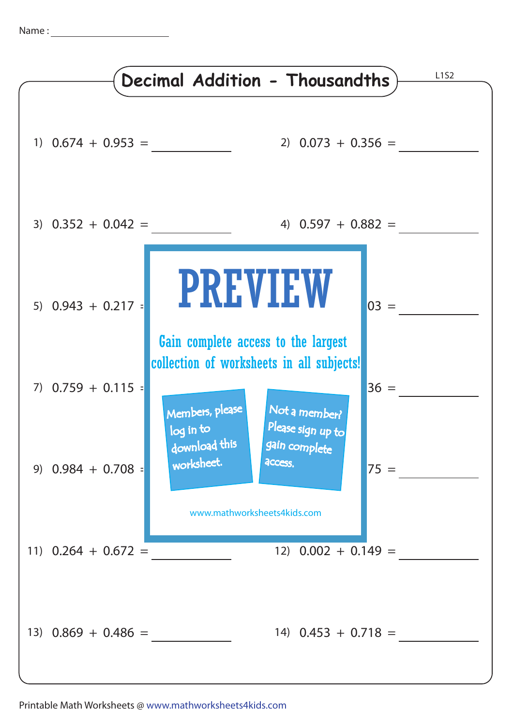